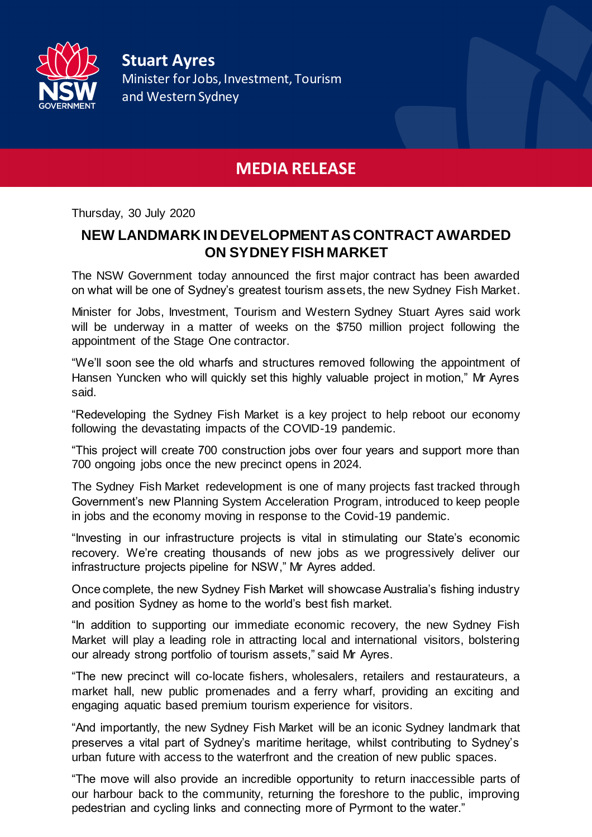

**Stuart Ayres** Minister for Jobs, Investment, Tourism and Western Sydney

## **MEDIA RELEASE**

Thursday, 30 July 2020

## **NEW LANDMARK IN DEVELOPMENT AS CONTRACT AWARDED ON SYDNEY FISH MARKET**

The NSW Government today announced the first major contract has been awarded on what will be one of Sydney's greatest tourism assets, the new Sydney Fish Market.

Minister for Jobs, Investment, Tourism and Western Sydney Stuart Ayres said work will be underway in a matter of weeks on the \$750 million project following the appointment of the Stage One contractor.

"We'll soon see the old wharfs and structures removed following the appointment of Hansen Yuncken who will quickly set this highly valuable project in motion," Mr Ayres said.

"Redeveloping the Sydney Fish Market is a key project to help reboot our economy following the devastating impacts of the COVID-19 pandemic.

"This project will create 700 construction jobs over four years and support more than 700 ongoing jobs once the new precinct opens in 2024.

The Sydney Fish Market redevelopment is one of many projects fast tracked through Government's new Planning System Acceleration Program, introduced to keep people in jobs and the economy moving in response to the Covid-19 pandemic.

"Investing in our infrastructure projects is vital in stimulating our State's economic recovery. We're creating thousands of new jobs as we progressively deliver our infrastructure projects pipeline for NSW," Mr Ayres added.

Once complete, the new Sydney Fish Market will showcase Australia's fishing industry and position Sydney as home to the world's best fish market.

"In addition to supporting our immediate economic recovery, the new Sydney Fish Market will play a leading role in attracting local and international visitors, bolstering our already strong portfolio of tourism assets," said Mr Ayres.

"The new precinct will co-locate fishers, wholesalers, retailers and restaurateurs, a market hall, new public promenades and a ferry wharf, providing an exciting and engaging aquatic based premium tourism experience for visitors.

"And importantly, the new Sydney Fish Market will be an iconic Sydney landmark that preserves a vital part of Sydney's maritime heritage, whilst contributing to Sydney's urban future with access to the waterfront and the creation of new public spaces.

"The move will also provide an incredible opportunity to return inaccessible parts of our harbour back to the community, returning the foreshore to the public, improving pedestrian and cycling links and connecting more of Pyrmont to the water."